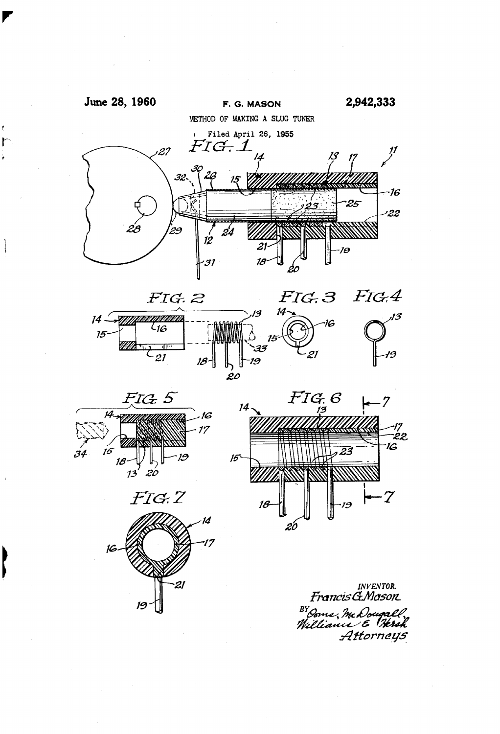

f

Ì

METHOD op MAKING A SLUG TUNER











nventor.<br>*Francis G.Masor*c Attorneys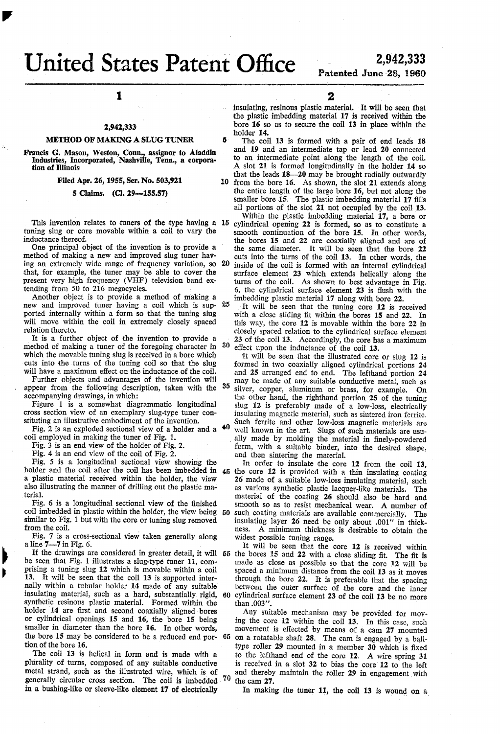United States Patent O

2,942,333<br>Patented June 28, 1960

1

## 2,942,333

## METHOD 0F MAKING A SLUG TUNER

Francis G. Mason, Weston, Conn., assignor to Aladdin Industries, Incorporated, Nashville, Tenn., a corpora-<br>tion of Illinois

Filed Apr. 26, 1955, Ser. No. 503,921

5 Claims. (Cl. 29--155.57)

tuning slug or core movable within a coil to vary the inductance thereof.

One principal object of the invention is to provide a method of making a new and improved slug tuner hav ing an extremely wide range of frequency variation, so 20 that, for example, the tuner may be able to cover the present very high frequency (VHF) television band extending from 50 to 216 megacycles.<br>Another object is to provide a method of making a

Another object is to provide a method of making a new and improved tuner having a coil which is sup- 25 ported internally within a form so that the tuning slug will move within the coil in extremely closely spaced relation thereto.

It is a further object of the invention to provide a method of making a tuner of the foregoing character in 30 which the movable tuning slug is received in a bore which cuts into the turns of the tuning coil so that the slug will have a maximum effect on the inductance of the coil.

Further objects and advantages of the invention will appear from the following description, taken with the <sup>35</sup> accompanying drawings, in which:<br>Figure 1 is a somewhat diagrammatic longitudinal

cross section view of an exemplary slug-type tuner constituting an illustrative embodiment of the invention.

Fig. 2 is an exploded sectional view of a holder and a  $\overline{40}$ coil employed in making the tuner of Fig. l.

Fig. 3 is an end view of the holder of Fig. 2.

Fig. 4 is an end view of the coil of Fig. 2.

Fig. 5 is a longitudinal sectional view showing the a plastic material received within the holder, the view also illustrating the manner of drilling out the plastic ma terial.

Fig. 6 is a longitudinal sectional view of the finished similar to Fig. 1 but with the core or tuning slug removed from the coil.

Fig. 7 is a cross-sectional view taken generally along a line  $7-7$  in Fig. 6.

v

be seen that Fig. 1 illustrates a slug-type tuner 11, comprising a tuning slug 12 which is movable within a coil 13. It will be seen that the coil 13 is supported inter nally within a tubular holder 14 made of any suitable insulating material, such as a hard, substantially rigid, synthetic resinous plastic material. Formed within the holder 14 are first and second coaxially aligned bores or cylindrical openings 15 and 16, the bore 15 being smaller in diameter than the bore 16. In other words, the bore 15 may be considered to be a reduced end por- 65 tion of the bore 16.

The coil 13 is helical in form and is made with a plurality of turns, composed of any suitable conductive metal strand, such as the illustrated wire, which is of generally circular cross section. The coil is imbedded <sup>70</sup> in a bushing-like or sleeve-like element 17 of electrically

insulating, resinous plastic material. It will be seen that the plastic imbedding material 17 is received within the bore 16 so as to secure the coil 13 in place within the holder 14.

10 from the bore 16. As shown, the slot 21 extends along The coil 13 is formed with a pair of end leads 18 and 19 and an intermediate tap or lead 20 connected to an intermediate point along the length of the coil.<br>A slot 21 is formed longitudinally in the holder 14 so that the leads 18-20 may be brought radially outwardly the entire length of the large bore 16, but not along the smaller bore 15. The plastic imbedding material 17 fills all portions of the slot 21 not occupied by the coil 13.<br>Within the plastic imbedding material 17, a bore or

Within the plastic imbedding material 17, a bore or<br>This invention relates to tuners of the type having a 15 cylindrical opening 22 is formed, so as to constitute a smooth continuation of the bore 15. In other words, the bores 15 and 22 are coaxially aligned and are of the same diameter. It will be seen that the bore 22 cuts into the turns of the coil 13. ln other words, the inside of the coil is formed with an internal cylindrical surface element 23 which extends helically along the turns of the coil. As shown to best advantage in Fig. 6, the cylindrical surface element 23 is flush with the imbedding plastic material 17 along with bore 22.

It will be seen that the tuning core 12 is received with a close sliding fit within the bores 15 and 22. In this way, the core 12 is movable within the bore 22 in closely spaced relation to the cylindrical surface element 23 of the coil 13. Accordingly, the core has a maximum effect upon the inductance of the coil  $13$ .

'It will be seen that the illustrated core or slug 12 is formed in two coaxially aligned cylindrical portions 24 and 25 arranged end to end. The lefthand portion 24 may be made of any suitable conductive metal, such as silver, copper, aluminum or brass, for example. On the other hand, the righthand portion 25 of the tuning slug 12 is preferably made of a low-loss, electrically insulating magnetic material, such as sintered iron ferrite. well known in the art. Slugs of such materials are usually made by molding the material in finely-powdered form, with a suitable binder, into the desired shape, and then sintering the material.

holder and the coil after the coil has been imbedded in 45 the core 12 is provided with a thin insulating coating coil imbedded in plastic within the holder, the view being 50 such coating materials are available commercially. The In order to insulate the core 12 from the coil 13, 26 made of a suitable low-loss insulating material, such as various synthetic plastic lacquer-like materials. The material of the coating 26 should also be hard and smooth so as to resist mechanical wear. A number of insulating layer 26 need be only about .001" in thick ness. A minimum thickness is desirable to obtain the widest possible tuning range.

If the drawings are considered in greater detail, it will 55 the bores 15 and 22 with a close sliding fit. The fit is 60 cylindrical surface element 23 of the coil 13 be no more than .003". It will be seen that the core 12 is received within made as close as possible so that the core 12 will be spaced a minimum distance from the coil 13 as it moves through the bore 22. It is preferable that the spacing between the outer surface of the core and the inner

Any suitable mechanism may be provided for mov ing the core 12 within the coil 13. In this case, such movement is effected by means of a cam 27 mounted on a rotatable shaft 28. The cam is engaged by a ball type roller 29 mounted in a member 30 which is fixed to the lefthand end of the core 12. A wire spring 31 is received in a slot 32 to bias the core- 12 to the left and thereby maintain the roller 29 in engagement with the cam 27.

In making the tuner 11, the coil 13 is wound on a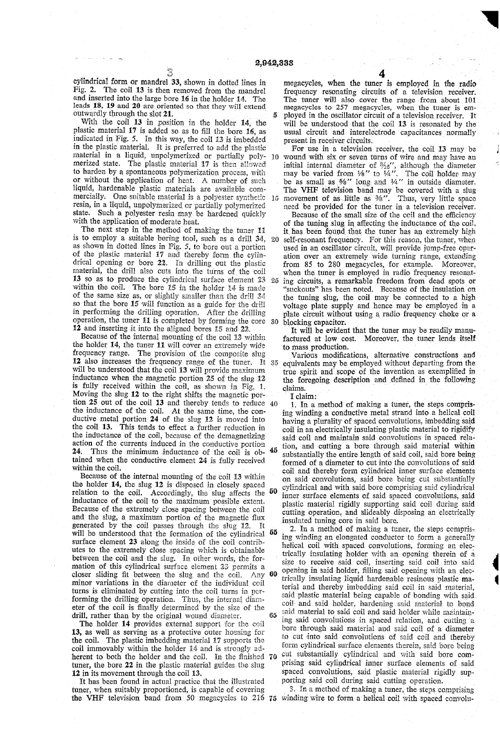With the coil 13 in position in the holder 14, the plastic material 17 is added so as to fill the bore 16, as indicated in Fig. 5. In this way, the coil 13 is imbedded in the plastic material. It is preferred to add the plastic material in a liquid, unpolymerized or partially poly- $10$ merized state. The plastic material 17 is then allowed to harden by a spontaneous polymerization process, with or without the application of heat. A number of such liquid, hardenable plastic materials are available commercially. One suitable material is a polyester synthetic resin, in a liquid, unpolymerized or partially polymerized state. Such a polyester resin may be hardened quickly with the application of moderate heat.

The next step in the method of making the tuner 11 is to employ a suitable boring tool, such as a drill 34, 20 as shown in dotted lines in Fig. 5, to bore out a portion of the plastic material 17 and thereby form the cylindrical opening or bore 22. In drilling out the plastic material, the drill also cuts into the turns of the coil 13 so as to produce the cylindrical surface element 23 within the coil. The bore 15 in the holder 14 is made of the same size as, or slightly smaller than the drill 34 so that the bore 15 will function as a guide for the drill in performing the drilling operation. After the drilling operation, the tuner 11 is completed by forming the core 30 12 and inserting it into the aligned bores 15 and 22.

Because of the internal mounting of the coil 13 within the holder 14, the tuner 11 will cover an extremely wide frequency range. The provision of the composite slug 12 also increases the frequency range of the tuner. It 35 will be understood that the coil 13 will provide maximum inductance when the magnetic portion 25 of the slug 12 is fully received within the coil, as shown in Fig. 1. Moving the slug 12 to the right shifts the magnetic portion 25 out of the coil 13 and thereby tends to reduce 40 the inductance of the coil. At the same time, the conductive metal portion 24 of the slug 12 is moved into the coil 13. This tends to effect a further reduction in the inductance of the coil, because of the demagnetizing action of the currents induced in the conductive portion  $45$ 24. Thus the minimum inductance of the coil is obtained when the conductive element 24 is fully received within the coil.

Because of the internal mounting of the coil 13 within the holder 14, the slug 12 is disposed in closely spaced relation to the coil. Accordingly, the slug affects the 50 inductance of the coil to the maximum possible extent. Because of the extremely close spacing between the coil and the slug, a maximum portion of the magnetic flux generated by the coil passes through the slug 12. It 55 will be understood that the formation of the cylindrical surface element 23 along the inside of the coil contributes to the extremely close spacing which is obtainable between the coil and the slug. In other words, the formation of this cylindrical surface element 23 permits a 60 closer sliding fit between the slug and the coil. Any minor variations in the diameter of the individual coil turns is eliminated by cutting into the coil turns in performing the drilling operation. Thus, the internal diameter of the coil is finally determined by the size of the drill, rather than by the original wound diameter. 65

The holder 14 provides external support for the coil 13, as well as serving as a protective outer housing for the coil. The plastic imbedding material 17 supports the coil immovably within the holder 14 and is strongly adherent to both the holder and the coil. In the finished 70 tuner, the bore 22 in the plastic material guides the slug 12 in its movement through the coil 13.

It has been found in actual practice that the illustrated tuner, when suitably proportioned, is capable of covering megacycles, when the tuner is employed in the radio frequency resonating circuits of a television receiver. The tuner will also cover the range from about 101 megacycles to 257 megacycles, when the tuner is employed in the oscillator circuit of a television receiver. It will be understood that the coil 13 is resonated by the usual circuit and interelectrode capacitances normally present in receiver circuits.

For use in a television receiver, the coil 13 may be wound with six or seven turns of wire and may have an initial internal diameter of  $\frac{36}{16}$ , although the diameter<br>may be varied from  $\frac{16}{16}$ , although the diameter<br>may be varied from  $\frac{16}{16}$ , to  $\frac{14}{16}$ . The coil holder may<br>be as small as  $\frac{56}{16}$ , long an The VHF television band may be covered with a slug 15 movement of as little as 3%". Thus, very little space need be provided for the tuner in a television receiver.

Because of the small size of the coil and the efficiency of the tuning slug in affecting the inductance of the coil, it has been found that the tuner has an extremely high self-resonant frequency. For this reason, the tuner, when used in an oscillator circuit, will provide jump-free operation over an extremely wide turning range, extending from 85 to 280 megacycles, for example. Moreover, when the tuner is employed in radio frequency resonating circuits, a remarkable freedom from dead spots or "suckouts" has been noted. Because of the insulation on the tuning slug, the coil may be connected to a high voltage plate supply and hence may be employed in a plate circuit without using a radio frequency choke or a blocking capacitor.

It will be evident that the tuner may be readily manufactured at low cost. Moreover, the tuner lends itself to mass production.

Various modifications, alternative constructions and equivalents may be employed without departing from the true spirit and scope of the invention as exemplified in the foregoing description and defined in the following claims.

I claim:

1. In a method of making a tuner, the steps comprising winding a conductive metal strand into a helical coil having a plurality of spaced convolutions, imbedding said coil in an electrically insulating plastic material to rigidify said coil and maintain said convolutions in spaced relation, and cutting a bore through said material within substantially the entire length of said coil, said bore being formed of a diameter to cut into the convolutions of said coil and thereby form cylindrical inner surface elements on said convolutions, said bore being cut substantially cylindrical and with said bore comprising said cylindrical inner surface elements of said spaced convolutions, said plastic material rigidly supporting said coil during said cutting operation, and slideably disposing an electrically insulated tuning core in said bore.

2. In a method of making a tuner, the steps comprising winding an elongated conductor to form a generally helical coil with spaced convolutions, forming an electrically insulating holder with an opening therein of a<br>size to receive said coil, inserting said coil into said opening in said holder, filling said opening with an electrically insulating liquid hardenable resinous plastic material and thereby imbedding said coil in said material, said plastic material being capable of bonding with said. coil and said holder, hardening said material to bond said material to said coil and said holder while maintaining said convolutions in spaced relation, and cutting a bore through said material and said coil of a diameter to cut into said convolutions of said coil and thereby form cylindrical surface elements therein, said bore being cut substantially cylindrical and with said bore comprising said cylindrical inner surface elements of said spaced convolutions, said plastic material rigidly supporting said coil during said cutting operation.

3. In a method of making a tuner, the steps comprising the VHF television band from 50 megacycles to 216 75 winding wire to form a helical coil with spaced convolu